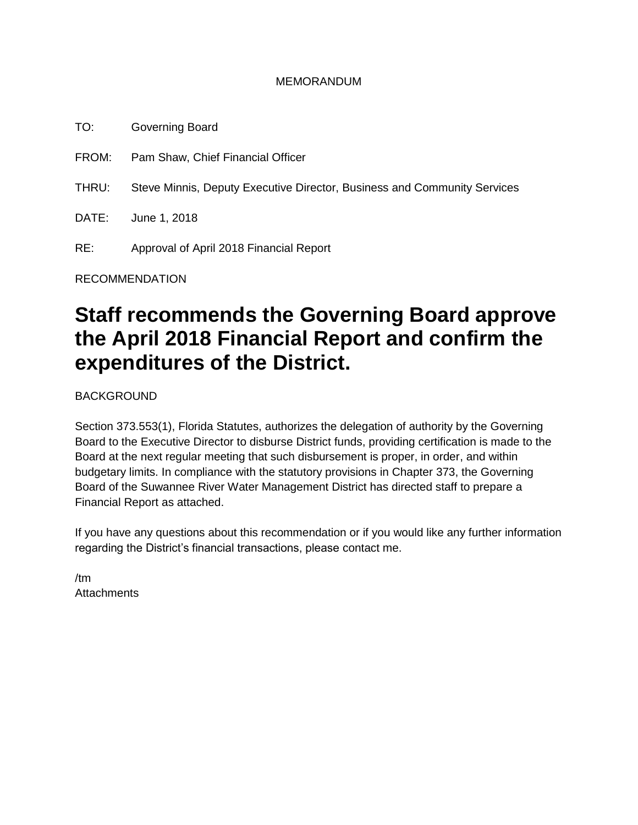### MEMORANDUM

TO: Governing Board FROM: Pam Shaw, Chief Financial Officer THRU: Steve Minnis, Deputy Executive Director, Business and Community Services DATE: June 1, 2018 RE: Approval of April 2018 Financial Report

RECOMMENDATION

# **Staff recommends the Governing Board approve the April 2018 Financial Report and confirm the expenditures of the District.**

BACKGROUND

Section 373.553(1), Florida Statutes, authorizes the delegation of authority by the Governing Board to the Executive Director to disburse District funds, providing certification is made to the Board at the next regular meeting that such disbursement is proper, in order, and within budgetary limits. In compliance with the statutory provisions in Chapter 373, the Governing Board of the Suwannee River Water Management District has directed staff to prepare a Financial Report as attached.

If you have any questions about this recommendation or if you would like any further information regarding the District's financial transactions, please contact me.

/tm **Attachments**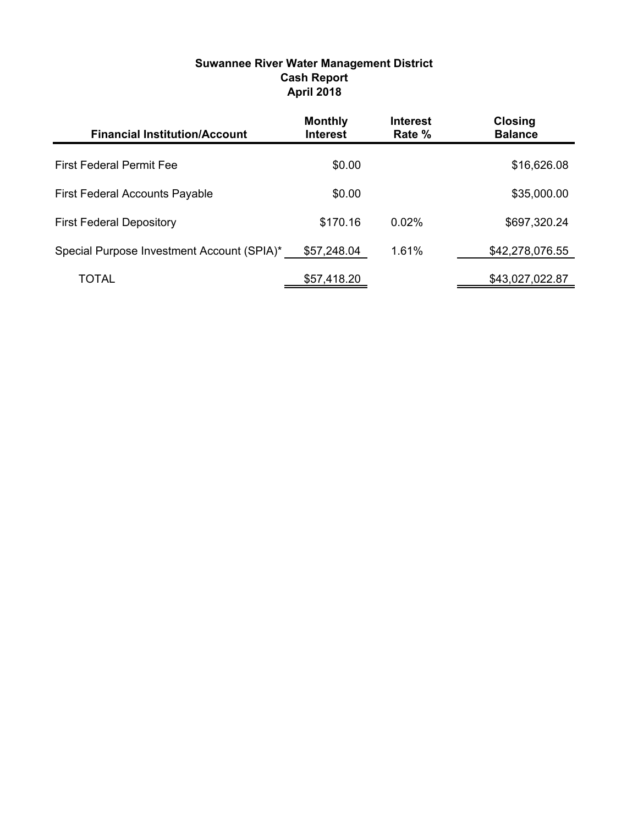| <b>Financial Institution/Account</b>       | <b>Monthly</b><br><b>Interest</b> | <b>Interest</b><br>Rate % | <b>Closing</b><br><b>Balance</b> |
|--------------------------------------------|-----------------------------------|---------------------------|----------------------------------|
| <b>First Federal Permit Fee</b>            | \$0.00                            |                           | \$16,626.08                      |
| <b>First Federal Accounts Payable</b>      | \$0.00                            |                           | \$35,000.00                      |
| <b>First Federal Depository</b>            | \$170.16                          | 0.02%                     | \$697,320.24                     |
| Special Purpose Investment Account (SPIA)* | \$57,248.04                       | 1.61%                     | \$42,278,076.55                  |
| TOTAL                                      | \$57,418.20                       |                           | \$43,027,022.87                  |

### **Suwannee River Water Management District Cash Report April 2018**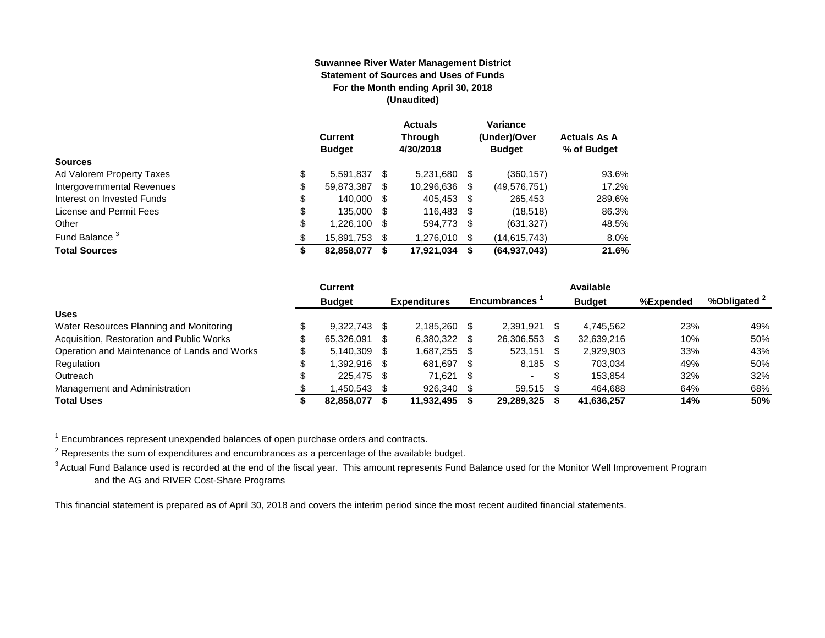#### **Suwannee River Water Management District Statement of Sources and Uses of Funds For the Month ending April 30, 2018 (Unaudited)**

|                            |    | <b>Current</b><br><b>Budget</b> |   | <b>Actuals</b><br><b>Through</b><br>4/30/2018 |   | Variance<br>(Under)/Over<br><b>Budget</b> | <b>Actuals As A</b><br>% of Budget |
|----------------------------|----|---------------------------------|---|-----------------------------------------------|---|-------------------------------------------|------------------------------------|
| <b>Sources</b>             |    |                                 |   |                                               |   |                                           |                                    |
| Ad Valorem Property Taxes  | \$ | 5,591,837 \$                    |   | 5,231,680 \$                                  |   | (360, 157)                                | 93.6%                              |
| Intergovernmental Revenues | \$ | 59,873,387                      | S | 10,296,636                                    | S | (49, 576, 751)                            | 17.2%                              |
| Interest on Invested Funds | \$ | 140,000 \$                      |   | 405.453 \$                                    |   | 265.453                                   | 289.6%                             |
| License and Permit Fees    | \$ | 135,000 \$                      |   | 116,483 \$                                    |   | (18,518)                                  | 86.3%                              |
| Other                      | \$ | 1,226,100 \$                    |   | 594,773 \$                                    |   | (631, 327)                                | 48.5%                              |
| Fund Balance <sup>3</sup>  | \$ | 15,891,753 \$                   |   | 1.276.010 \$                                  |   | (14, 615, 743)                            | $8.0\%$                            |
| <b>Total Sources</b>       | S  | 82,858,077                      |   | 17,921,034                                    | S | (64, 937, 043)                            | 21.6%                              |

|                                              | <b>Current</b> |      |                     |      |                     |     | Available     |           |              |
|----------------------------------------------|----------------|------|---------------------|------|---------------------|-----|---------------|-----------|--------------|
|                                              | <b>Budget</b>  |      | <b>Expenditures</b> |      | <b>Encumbrances</b> |     | <b>Budget</b> | %Expended | %Obligated 2 |
| <b>Uses</b>                                  |                |      |                     |      |                     |     |               |           |              |
| Water Resources Planning and Monitoring      | 9.322.743      | - \$ | 2.185.260           |      | 2.391.921           |     | 4.745.562     | 23%       | 49%          |
| Acquisition, Restoration and Public Works    | 65,326,091     | - \$ | 6,380,322           |      | 26,306,553          |     | 32,639,216    | 10%       | 50%          |
| Operation and Maintenance of Lands and Works | 5.140.309      | - \$ | 1,687,255           |      | 523,151             | -SS | 2,929,903     | 33%       | 43%          |
| Regulation                                   | 1.392.916 \$   |      | 681.697             | - \$ | $8,185$ \$          |     | 703.034       | 49%       | 50%          |
| Outreach                                     | 225.475 \$     |      | 71.621              | - \$ |                     |     | 153.854       | 32%       | 32%          |
| Management and Administration                | .450,543       |      | 926,340             |      | 59,515              |     | 464.688       | 64%       | 68%          |
| <b>Total Uses</b>                            | 82,858,077     |      | 11,932,495          |      | 29,289,325          |     | 41,636,257    | 14%       | 50%          |

 $1$  Encumbrances represent unexpended balances of open purchase orders and contracts.

 $^2$  Represents the sum of expenditures and encumbrances as a percentage of the available budget.

<sup>3</sup> Actual Fund Balance used is recorded at the end of the fiscal year. This amount represents Fund Balance used for the Monitor Well Improvement Program and the AG and RIVER Cost-Share Programs

This financial statement is prepared as of April 30, 2018 and covers the interim period since the most recent audited financial statements.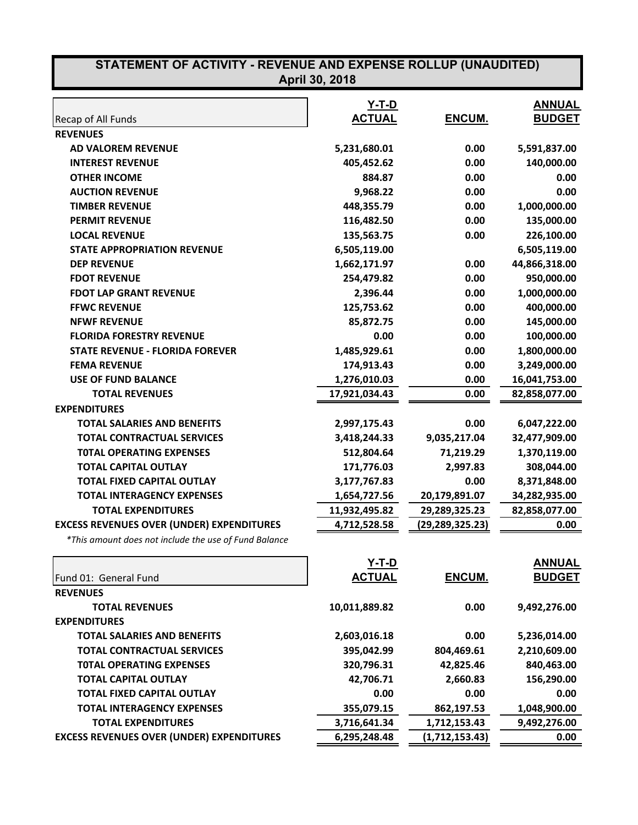| STATEMENT OF ACTIVITY - REVENUE AND EXPENSE ROLLUP (UNAUDITED)<br>April 30, 2018 |               |                 |               |  |
|----------------------------------------------------------------------------------|---------------|-----------------|---------------|--|
|                                                                                  | <b>Y-T-D</b>  |                 | <b>ANNUAL</b> |  |
| Recap of All Funds                                                               | <b>ACTUAL</b> | ENCUM.          | <b>BUDGET</b> |  |
| <b>REVENUES</b>                                                                  |               |                 |               |  |
| <b>AD VALOREM REVENUE</b>                                                        | 5,231,680.01  | 0.00            | 5,591,837.00  |  |
| <b>INTEREST REVENUE</b>                                                          | 405,452.62    | 0.00            | 140,000.00    |  |
| <b>OTHER INCOME</b>                                                              | 884.87        | 0.00            | 0.00          |  |
| <b>AUCTION REVENUE</b>                                                           | 9,968.22      | 0.00            | 0.00          |  |
| <b>TIMBER REVENUE</b>                                                            | 448,355.79    | 0.00            | 1,000,000.00  |  |
| <b>PERMIT REVENUE</b>                                                            | 116,482.50    | 0.00            | 135,000.00    |  |
| <b>LOCAL REVENUE</b>                                                             | 135,563.75    | 0.00            | 226,100.00    |  |
| <b>STATE APPROPRIATION REVENUE</b>                                               | 6,505,119.00  |                 | 6,505,119.00  |  |
| <b>DEP REVENUE</b>                                                               | 1,662,171.97  | 0.00            | 44,866,318.00 |  |
| <b>FDOT REVENUE</b>                                                              | 254,479.82    | 0.00            | 950,000.00    |  |
| <b>FDOT LAP GRANT REVENUE</b>                                                    | 2,396.44      | 0.00            | 1,000,000.00  |  |
| <b>FFWC REVENUE</b>                                                              | 125,753.62    | 0.00            | 400,000.00    |  |
| <b>NFWF REVENUE</b>                                                              | 85,872.75     | 0.00            | 145,000.00    |  |
| <b>FLORIDA FORESTRY REVENUE</b>                                                  | 0.00          | 0.00            | 100,000.00    |  |
| <b>STATE REVENUE - FLORIDA FOREVER</b>                                           | 1,485,929.61  | 0.00            | 1,800,000.00  |  |
| <b>FEMA REVENUE</b>                                                              | 174,913.43    | 0.00            | 3,249,000.00  |  |
| <b>USE OF FUND BALANCE</b>                                                       | 1,276,010.03  | 0.00            | 16,041,753.00 |  |
| <b>TOTAL REVENUES</b>                                                            | 17,921,034.43 | 0.00            | 82,858,077.00 |  |
| <b>EXPENDITURES</b>                                                              |               |                 |               |  |
| <b>TOTAL SALARIES AND BENEFITS</b>                                               | 2,997,175.43  | 0.00            | 6,047,222.00  |  |
| <b>TOTAL CONTRACTUAL SERVICES</b>                                                | 3,418,244.33  | 9,035,217.04    | 32,477,909.00 |  |
| <b>TOTAL OPERATING EXPENSES</b>                                                  | 512,804.64    | 71,219.29       | 1,370,119.00  |  |
| <b>TOTAL CAPITAL OUTLAY</b>                                                      | 171,776.03    | 2,997.83        | 308,044.00    |  |
| <b>TOTAL FIXED CAPITAL OUTLAY</b>                                                | 3,177,767.83  | 0.00            | 8,371,848.00  |  |
| <b>TOTAL INTERAGENCY EXPENSES</b>                                                | 1,654,727.56  | 20,179,891.07   | 34,282,935.00 |  |
| <b>TOTAL EXPENDITURES</b>                                                        | 11,932,495.82 | 29,289,325.23   | 82,858,077.00 |  |
| <b>EXCESS REVENUES OVER (UNDER) EXPENDITURES</b>                                 | 4,712,528.58  | (29,289,325.23) | 0.00          |  |
| *This amount does not include the use of Fund Balance                            |               |                 |               |  |
|                                                                                  | <u>Y-T-D</u>  |                 | <b>ANNUAL</b> |  |
| Fund 01: General Fund                                                            | <b>ACTUAL</b> | ENCUM.          | <b>BUDGET</b> |  |
| <b>REVENUES</b>                                                                  |               |                 |               |  |

| Fund 01: General Fund              | Y-T-D<br><b>ACTUAL</b> | <b>ENCUM.</b> | <b>ANNUAL</b><br><b>BUDGET</b> |
|------------------------------------|------------------------|---------------|--------------------------------|
| <b>REVENUES</b>                    |                        |               |                                |
| <b>TOTAL REVENUES</b>              | 10,011,889.82          | 0.00          | 9,492,276.00                   |
| <b>EXPENDITURES</b>                |                        |               |                                |
| <b>TOTAL SALARIES AND BENEFITS</b> | 2,603,016.18           | 0.00          | 5,236,014.00                   |
| <b>TOTAL CONTRACTUAL SERVICES</b>  | 395,042.99             | 804,469.61    | 2,210,609.00                   |
|                                    |                        |               |                                |

| <b>TOTAL CONTRACTUAL SERVICES</b>                | 395,042.99   | 804,469.61     | 2,210,609.00 |
|--------------------------------------------------|--------------|----------------|--------------|
| <b>TOTAL OPERATING EXPENSES</b>                  | 320,796.31   | 42,825.46      | 840,463.00   |
| <b>TOTAL CAPITAL OUTLAY</b>                      | 42,706.71    | 2,660.83       | 156,290.00   |
| <b>TOTAL FIXED CAPITAL OUTLAY</b>                | 0.00         | 0.00           | 0.00         |
| <b>TOTAL INTERAGENCY EXPENSES</b>                | 355,079.15   | 862,197.53     | 1,048,900.00 |
| <b>TOTAL EXPENDITURES</b>                        | 3,716,641.34 | 1,712,153.43   | 9,492,276.00 |
| <b>EXCESS REVENUES OVER (UNDER) EXPENDITURES</b> | 6,295,248.48 | (1,712,153.43) | 0.00         |
|                                                  |              |                |              |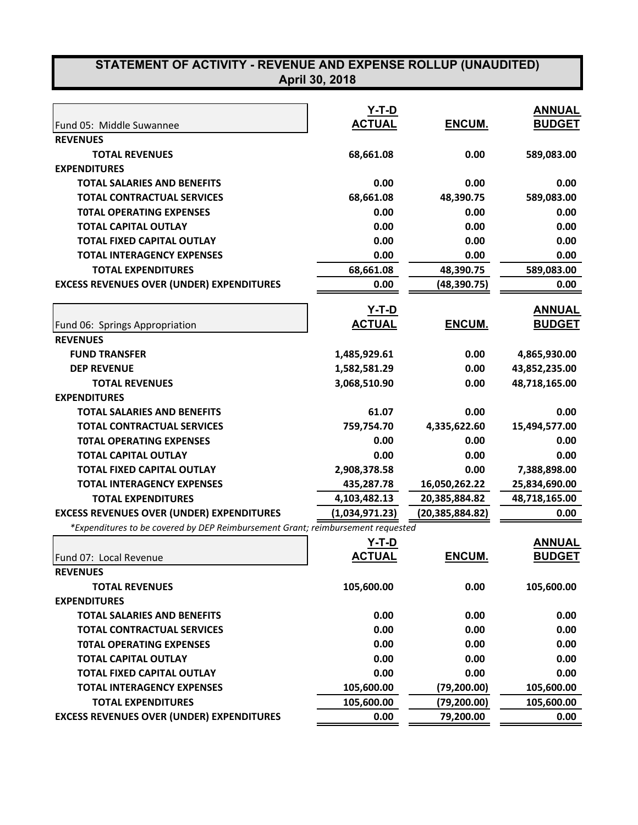# **STATEMENT OF ACTIVITY - REVENUE AND EXPENSE ROLLUP (UNAUDITED)**

| April 30, 2018 |  |
|----------------|--|
|----------------|--|

|                                                                                 | Y-T-D          |                   | <b>ANNUAL</b> |
|---------------------------------------------------------------------------------|----------------|-------------------|---------------|
| Fund 05: Middle Suwannee                                                        | <b>ACTUAL</b>  | ENCUM.            | <b>BUDGET</b> |
| <b>REVENUES</b>                                                                 |                |                   |               |
| <b>TOTAL REVENUES</b>                                                           | 68,661.08      | 0.00              | 589,083.00    |
| <b>EXPENDITURES</b>                                                             |                |                   |               |
| <b>TOTAL SALARIES AND BENEFITS</b>                                              | 0.00           | 0.00              | 0.00          |
| <b>TOTAL CONTRACTUAL SERVICES</b>                                               | 68,661.08      | 48,390.75         | 589,083.00    |
| <b>TOTAL OPERATING EXPENSES</b>                                                 | 0.00           | 0.00              | 0.00          |
| <b>TOTAL CAPITAL OUTLAY</b>                                                     | 0.00           | 0.00              | 0.00          |
| <b>TOTAL FIXED CAPITAL OUTLAY</b>                                               | 0.00           | 0.00              | 0.00          |
| <b>TOTAL INTERAGENCY EXPENSES</b>                                               | 0.00           | 0.00              | 0.00          |
| <b>TOTAL EXPENDITURES</b>                                                       | 68,661.08      | 48,390.75         | 589,083.00    |
| <b>EXCESS REVENUES OVER (UNDER) EXPENDITURES</b>                                | 0.00           | (48, 390.75)      | 0.00          |
|                                                                                 |                |                   |               |
|                                                                                 | Y-T-D          |                   | <b>ANNUAL</b> |
| Fund 06: Springs Appropriation                                                  | <b>ACTUAL</b>  | ENCUM.            | <b>BUDGET</b> |
| <b>REVENUES</b>                                                                 |                |                   |               |
| <b>FUND TRANSFER</b>                                                            | 1,485,929.61   | 0.00              | 4,865,930.00  |
| <b>DEP REVENUE</b>                                                              | 1,582,581.29   | 0.00              | 43,852,235.00 |
| <b>TOTAL REVENUES</b>                                                           | 3,068,510.90   | 0.00              | 48,718,165.00 |
| <b>EXPENDITURES</b>                                                             |                |                   |               |
| <b>TOTAL SALARIES AND BENEFITS</b>                                              | 61.07          | 0.00              | 0.00          |
| <b>TOTAL CONTRACTUAL SERVICES</b>                                               | 759,754.70     | 4,335,622.60      | 15,494,577.00 |
| <b>TOTAL OPERATING EXPENSES</b>                                                 | 0.00           | 0.00              | 0.00          |
| <b>TOTAL CAPITAL OUTLAY</b>                                                     | 0.00           | 0.00              | 0.00          |
| <b>TOTAL FIXED CAPITAL OUTLAY</b>                                               | 2,908,378.58   | 0.00              | 7,388,898.00  |
| <b>TOTAL INTERAGENCY EXPENSES</b>                                               | 435,287.78     | 16,050,262.22     | 25,834,690.00 |
| <b>TOTAL EXPENDITURES</b>                                                       | 4,103,482.13   | 20,385,884.82     | 48,718,165.00 |
| <b>EXCESS REVENUES OVER (UNDER) EXPENDITURES</b>                                | (1,034,971.23) | (20, 385, 884.82) | 0.00          |
| *Expenditures to be covered by DEP Reimbursement Grant; reimbursement requested |                |                   |               |
|                                                                                 | Y-T-D          |                   | <b>ANNUAL</b> |
| Fund 07: Local Revenue                                                          | <b>ACTUAL</b>  | ENCUM.            | <b>BUDGET</b> |
| <b>REVENUES</b>                                                                 |                |                   |               |
| <b>TOTAL REVENUES</b>                                                           | 105,600.00     | 0.00              | 105,600.00    |
| <b>EXPENDITURES</b>                                                             |                |                   |               |
| <b>TOTAL SALARIES AND BENEFITS</b>                                              | 0.00           | 0.00              | 0.00          |
| <b>TOTAL CONTRACTUAL SERVICES</b>                                               | 0.00           | 0.00              | 0.00          |
| <b>TOTAL OPERATING EXPENSES</b>                                                 | 0.00           | 0.00              | 0.00          |
| <b>TOTAL CAPITAL OUTLAY</b>                                                     | 0.00           | 0.00              | 0.00          |
| <b>TOTAL FIXED CAPITAL OUTLAY</b>                                               | 0.00           | 0.00              | 0.00          |
| <b>TOTAL INTERAGENCY EXPENSES</b>                                               | 105,600.00     | (79, 200.00)      | 105,600.00    |
| <b>TOTAL EXPENDITURES</b>                                                       | 105,600.00     | (79, 200.00)      | 105,600.00    |
| <b>EXCESS REVENUES OVER (UNDER) EXPENDITURES</b>                                | 0.00           | 79,200.00         | 0.00          |
|                                                                                 |                |                   |               |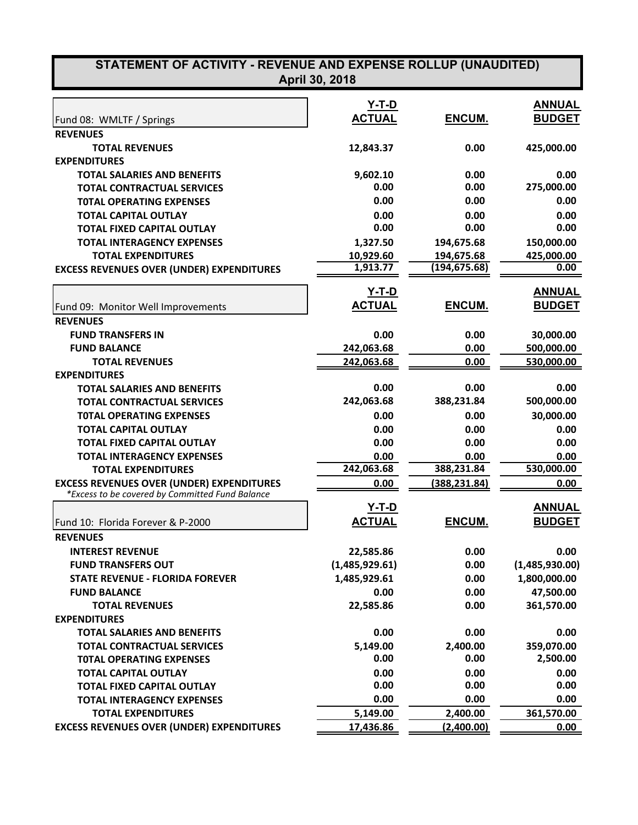| STATEMENT OF ACTIVITY - REVENUE AND EXPENSE ROLLUP (UNAUDITED)<br>April 30, 2018 |                       |                             |                        |  |  |
|----------------------------------------------------------------------------------|-----------------------|-----------------------------|------------------------|--|--|
|                                                                                  | <u>Y-T-D</u>          |                             | <b>ANNUAL</b>          |  |  |
| Fund 08: WMLTF / Springs                                                         | <b>ACTUAL</b>         | ENCUM.                      | <b>BUDGET</b>          |  |  |
| <b>REVENUES</b>                                                                  |                       |                             |                        |  |  |
|                                                                                  |                       |                             |                        |  |  |
| <b>TOTAL REVENUES</b><br><b>EXPENDITURES</b>                                     | 12,843.37             | 0.00                        | 425,000.00             |  |  |
|                                                                                  |                       |                             |                        |  |  |
| <b>TOTAL SALARIES AND BENEFITS</b><br><b>TOTAL CONTRACTUAL SERVICES</b>          | 9,602.10<br>0.00      | 0.00<br>0.00                | 0.00<br>275,000.00     |  |  |
|                                                                                  | 0.00                  | 0.00                        | 0.00                   |  |  |
| <b>TOTAL OPERATING EXPENSES</b>                                                  |                       |                             |                        |  |  |
| <b>TOTAL CAPITAL OUTLAY</b>                                                      | 0.00<br>0.00          | 0.00<br>0.00                | 0.00<br>0.00           |  |  |
| <b>TOTAL FIXED CAPITAL OUTLAY</b>                                                |                       |                             |                        |  |  |
| <b>TOTAL INTERAGENCY EXPENSES</b>                                                | 1,327.50              | 194,675.68                  | 150,000.00             |  |  |
| <b>TOTAL EXPENDITURES</b>                                                        | 10,929.60<br>1,913.77 | 194,675.68<br>(194, 675.68) | 425,000.00<br>0.00     |  |  |
| <b>EXCESS REVENUES OVER (UNDER) EXPENDITURES</b>                                 |                       |                             |                        |  |  |
|                                                                                  | Y-T-D                 |                             | <b>ANNUAL</b>          |  |  |
| Fund 09: Monitor Well Improvements                                               | <b>ACTUAL</b>         | <b>ENCUM.</b>               | <b>BUDGET</b>          |  |  |
| <b>REVENUES</b>                                                                  |                       |                             |                        |  |  |
| <b>FUND TRANSFERS IN</b>                                                         | 0.00                  | 0.00                        | 30,000.00              |  |  |
| <b>FUND BALANCE</b>                                                              | 242,063.68            | 0.00                        | 500,000.00             |  |  |
| <b>TOTAL REVENUES</b>                                                            | 242,063.68            | 0.00                        | 530,000.00             |  |  |
| <b>EXPENDITURES</b>                                                              |                       |                             |                        |  |  |
| <b>TOTAL SALARIES AND BENEFITS</b>                                               | 0.00                  | 0.00                        | 0.00                   |  |  |
| <b>TOTAL CONTRACTUAL SERVICES</b>                                                | 242,063.68            | 388,231.84                  | 500,000.00             |  |  |
| <b>TOTAL OPERATING EXPENSES</b>                                                  | 0.00                  | 0.00                        | 30,000.00              |  |  |
| <b>TOTAL CAPITAL OUTLAY</b>                                                      | 0.00                  | 0.00                        | 0.00                   |  |  |
| <b>TOTAL FIXED CAPITAL OUTLAY</b>                                                | 0.00                  | 0.00                        | 0.00                   |  |  |
| <b>TOTAL INTERAGENCY EXPENSES</b>                                                | 0.00                  | 0.00                        | 0.00                   |  |  |
| <b>TOTAL EXPENDITURES</b>                                                        | 242,063.68            | 388,231.84                  | 530,000.00             |  |  |
| <b>EXCESS REVENUES OVER (UNDER) EXPENDITURES</b>                                 | 0.00                  | (388,231.84)                | 0.00                   |  |  |
| *Excess to be covered by Committed Fund Balance                                  |                       |                             |                        |  |  |
|                                                                                  | Y-T-D                 |                             | <b>ANNUAL</b>          |  |  |
| Fund 10: Florida Forever & P-2000                                                | <b>ACTUAL</b>         | ENCUM.                      | <b>BUDGET</b>          |  |  |
| <b>REVENUES</b>                                                                  |                       |                             |                        |  |  |
| <b>INTEREST REVENUE</b>                                                          | 22,585.86             | 0.00                        | 0.00                   |  |  |
| <b>FUND TRANSFERS OUT</b>                                                        | (1,485,929.61)        | 0.00                        | (1,485,930.00)         |  |  |
| <b>STATE REVENUE - FLORIDA FOREVER</b>                                           | 1,485,929.61          | 0.00                        | 1,800,000.00           |  |  |
| <b>FUND BALANCE</b>                                                              | 0.00                  | 0.00                        | 47,500.00              |  |  |
| <b>TOTAL REVENUES</b>                                                            |                       | 0.00                        | 361,570.00             |  |  |
| <b>EXPENDITURES</b>                                                              | 22,585.86             |                             |                        |  |  |
| <b>TOTAL SALARIES AND BENEFITS</b>                                               | 0.00                  | 0.00                        | 0.00                   |  |  |
| <b>TOTAL CONTRACTUAL SERVICES</b>                                                | 5,149.00              |                             |                        |  |  |
|                                                                                  | 0.00                  | 2,400.00<br>0.00            | 359,070.00<br>2,500.00 |  |  |
| <b>TOTAL OPERATING EXPENSES</b>                                                  |                       |                             |                        |  |  |
| <b>TOTAL CAPITAL OUTLAY</b>                                                      | 0.00<br>0.00          | 0.00<br>0.00                | 0.00<br>0.00           |  |  |
| <b>TOTAL FIXED CAPITAL OUTLAY</b>                                                |                       | 0.00                        |                        |  |  |
| <b>TOTAL INTERAGENCY EXPENSES</b>                                                | 0.00                  |                             | 0.00                   |  |  |
| <b>TOTAL EXPENDITURES</b>                                                        | 5,149.00              | 2,400.00                    | 361,570.00             |  |  |
| <b>EXCESS REVENUES OVER (UNDER) EXPENDITURES</b>                                 | 17,436.86             | (2,400.00)                  | 0.00                   |  |  |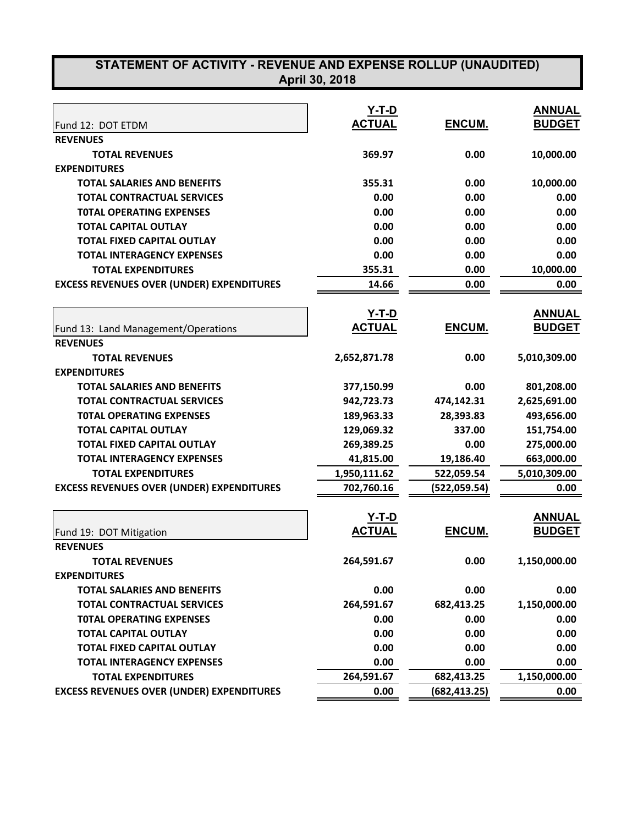| STATEMENT OF ACTIVITY - REVENUE AND EXPENSE ROLLUP (UNAUDITED)         |                |               |                   |
|------------------------------------------------------------------------|----------------|---------------|-------------------|
|                                                                        | April 30, 2018 |               |                   |
|                                                                        |                |               |                   |
|                                                                        | Y-T-D          |               | <b>ANNUAL</b>     |
| Fund 12: DOT ETDM                                                      | <b>ACTUAL</b>  | ENCUM.        | <b>BUDGET</b>     |
| <b>REVENUES</b>                                                        |                |               |                   |
| <b>TOTAL REVENUES</b>                                                  | 369.97         | 0.00          | 10,000.00         |
| <b>EXPENDITURES</b>                                                    |                |               |                   |
| <b>TOTAL SALARIES AND BENEFITS</b>                                     | 355.31         | 0.00          | 10,000.00         |
| <b>TOTAL CONTRACTUAL SERVICES</b>                                      | 0.00           | 0.00          | 0.00              |
| <b>TOTAL OPERATING EXPENSES</b>                                        | 0.00           | 0.00          | 0.00              |
| <b>TOTAL CAPITAL OUTLAY</b>                                            | 0.00           | 0.00          | 0.00              |
| <b>TOTAL FIXED CAPITAL OUTLAY</b><br><b>TOTAL INTERAGENCY EXPENSES</b> | 0.00           | 0.00          | 0.00              |
| <b>TOTAL EXPENDITURES</b>                                              | 0.00<br>355.31 | 0.00<br>0.00  | 0.00<br>10,000.00 |
| <b>EXCESS REVENUES OVER (UNDER) EXPENDITURES</b>                       | 14.66          | 0.00          | 0.00              |
|                                                                        |                |               |                   |
|                                                                        | <u>Y-T-D</u>   |               | <b>ANNUAL</b>     |
| Fund 13: Land Management/Operations                                    | <b>ACTUAL</b>  | ENCUM.        | <b>BUDGET</b>     |
| <b>REVENUES</b>                                                        |                |               |                   |
| <b>TOTAL REVENUES</b>                                                  | 2,652,871.78   | 0.00          | 5,010,309.00      |
| <b>EXPENDITURES</b>                                                    |                |               |                   |
| <b>TOTAL SALARIES AND BENEFITS</b>                                     | 377,150.99     | 0.00          | 801,208.00        |
| <b>TOTAL CONTRACTUAL SERVICES</b>                                      | 942,723.73     | 474,142.31    | 2,625,691.00      |
| <b>TOTAL OPERATING EXPENSES</b>                                        | 189,963.33     | 28,393.83     | 493,656.00        |
| <b>TOTAL CAPITAL OUTLAY</b>                                            | 129,069.32     | 337.00        | 151,754.00        |
| <b>TOTAL FIXED CAPITAL OUTLAY</b>                                      | 269,389.25     | 0.00          | 275,000.00        |
| <b>TOTAL INTERAGENCY EXPENSES</b>                                      | 41,815.00      | 19,186.40     | 663,000.00        |
| <b>TOTAL EXPENDITURES</b>                                              | 1,950,111.62   | 522,059.54    | 5,010,309.00      |
| <b>EXCESS REVENUES OVER (UNDER) EXPENDITURES</b>                       | 702,760.16     | (522,059.54)  | 0.00              |
|                                                                        |                |               |                   |
|                                                                        | <b>Y-T-D</b>   |               | <b>ANNUAL</b>     |
| Fund 19: DOT Mitigation                                                | <b>ACTUAL</b>  | ENCUM.        | <b>BUDGET</b>     |
| <b>REVENUES</b>                                                        |                |               |                   |
| <b>TOTAL REVENUES</b>                                                  | 264,591.67     | 0.00          | 1,150,000.00      |
| <b>EXPENDITURES</b>                                                    |                |               |                   |
| <b>TOTAL SALARIES AND BENEFITS</b>                                     | 0.00           | 0.00          | 0.00              |
| <b>TOTAL CONTRACTUAL SERVICES</b>                                      | 264,591.67     | 682,413.25    | 1,150,000.00      |
| <b>TOTAL OPERATING EXPENSES</b>                                        | 0.00           | 0.00          | 0.00              |
| <b>TOTAL CAPITAL OUTLAY</b>                                            | 0.00           | 0.00          | 0.00              |
| <b>TOTAL FIXED CAPITAL OUTLAY</b>                                      | 0.00           | 0.00          | 0.00              |
| <b>TOTAL INTERAGENCY EXPENSES</b>                                      | 0.00           | 0.00          | 0.00              |
| <b>TOTAL EXPENDITURES</b>                                              | 264,591.67     | 682,413.25    | 1,150,000.00      |
| <b>EXCESS REVENUES OVER (UNDER) EXPENDITURES</b>                       | 0.00           | (682, 413.25) | 0.00              |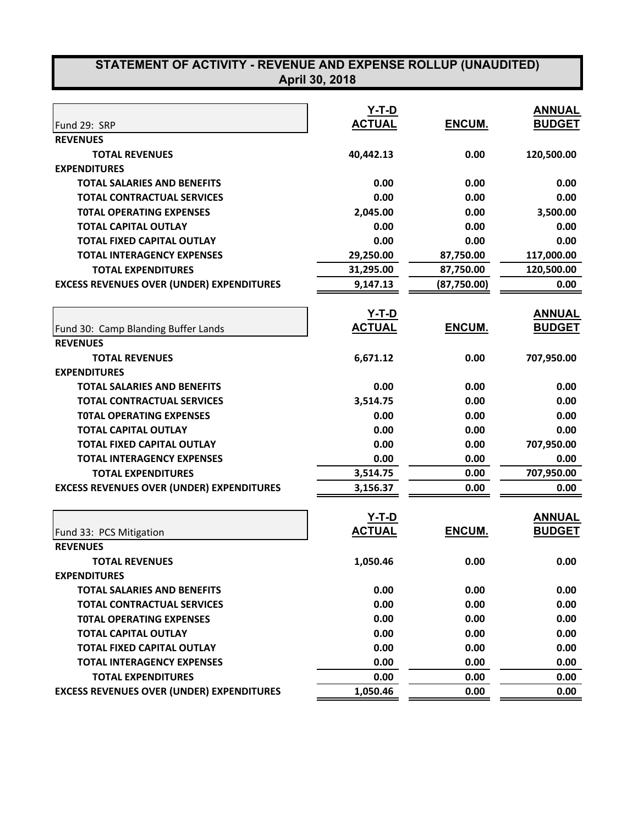| STATEMENT OF ACTIVITY - REVENUE AND EXPENSE ROLLUP (UNAUDITED)<br>April 30, 2018 |               |               |               |  |
|----------------------------------------------------------------------------------|---------------|---------------|---------------|--|
|                                                                                  |               |               |               |  |
|                                                                                  | <u>Y-T-D</u>  |               | <b>ANNUAL</b> |  |
| Fund 29: SRP                                                                     | <b>ACTUAL</b> | ENCUM.        | <b>BUDGET</b> |  |
| <b>REVENUES</b>                                                                  |               |               |               |  |
| <b>TOTAL REVENUES</b>                                                            | 40,442.13     | 0.00          | 120,500.00    |  |
| <b>EXPENDITURES</b>                                                              |               |               |               |  |
| <b>TOTAL SALARIES AND BENEFITS</b>                                               | 0.00          | 0.00          | 0.00          |  |
| <b>TOTAL CONTRACTUAL SERVICES</b>                                                | 0.00          | 0.00          | 0.00          |  |
| <b>TOTAL OPERATING EXPENSES</b>                                                  | 2,045.00      | 0.00          | 3,500.00      |  |
| <b>TOTAL CAPITAL OUTLAY</b>                                                      | 0.00          | 0.00          | 0.00          |  |
| <b>TOTAL FIXED CAPITAL OUTLAY</b>                                                | 0.00          | 0.00          | 0.00          |  |
| <b>TOTAL INTERAGENCY EXPENSES</b>                                                | 29,250.00     | 87,750.00     | 117,000.00    |  |
| <b>TOTAL EXPENDITURES</b>                                                        | 31,295.00     | 87,750.00     | 120,500.00    |  |
| <b>EXCESS REVENUES OVER (UNDER) EXPENDITURES</b>                                 | 9,147.13      | (87,750.00)   | 0.00          |  |
|                                                                                  |               |               |               |  |
|                                                                                  | Y-T-D         |               | <b>ANNUAL</b> |  |
| Fund 30: Camp Blanding Buffer Lands                                              | <b>ACTUAL</b> | <b>ENCUM.</b> | <b>BUDGET</b> |  |
| <b>REVENUES</b>                                                                  |               |               |               |  |
| <b>TOTAL REVENUES</b>                                                            | 6,671.12      | 0.00          | 707,950.00    |  |
| <b>EXPENDITURES</b>                                                              |               |               |               |  |
| <b>TOTAL SALARIES AND BENEFITS</b>                                               | 0.00          | 0.00          | 0.00          |  |
| <b>TOTAL CONTRACTUAL SERVICES</b>                                                | 3,514.75      | 0.00          | 0.00          |  |
| <b>TOTAL OPERATING EXPENSES</b>                                                  | 0.00          | 0.00          | 0.00          |  |
| <b>TOTAL CAPITAL OUTLAY</b>                                                      | 0.00          | 0.00          | 0.00          |  |
| <b>TOTAL FIXED CAPITAL OUTLAY</b>                                                | 0.00          | 0.00          | 707,950.00    |  |
| <b>TOTAL INTERAGENCY EXPENSES</b>                                                | 0.00          | 0.00          | 0.00          |  |
| <b>TOTAL EXPENDITURES</b>                                                        | 3,514.75      | 0.00          | 707,950.00    |  |
| <b>EXCESS REVENUES OVER (UNDER) EXPENDITURES</b>                                 | 3,156.37      | 0.00          | 0.00          |  |
|                                                                                  |               |               |               |  |
|                                                                                  | $Y-T-D$       |               | <b>ANNUAL</b> |  |
| Fund 33: PCS Mitigation                                                          | <u>ACTUAL</u> | <b>ENCUM.</b> | <b>BUDGET</b> |  |
| <b>REVENUES</b>                                                                  |               |               |               |  |
| <b>TOTAL REVENUES</b>                                                            | 1,050.46      | 0.00          | 0.00          |  |
| <b>EXPENDITURES</b>                                                              |               |               |               |  |
| <b>TOTAL SALARIES AND BENEFITS</b>                                               | 0.00          | 0.00          | 0.00          |  |
| <b>TOTAL CONTRACTUAL SERVICES</b>                                                | 0.00          | 0.00          | 0.00          |  |
| <b>TOTAL OPERATING EXPENSES</b>                                                  | 0.00          | 0.00          | 0.00          |  |
| <b>TOTAL CAPITAL OUTLAY</b>                                                      | 0.00          | 0.00          | 0.00          |  |
| <b>TOTAL FIXED CAPITAL OUTLAY</b>                                                | 0.00          | 0.00          | 0.00          |  |
| <b>TOTAL INTERAGENCY EXPENSES</b>                                                | 0.00          | 0.00          | 0.00          |  |
| <b>TOTAL EXPENDITURES</b>                                                        | 0.00          | 0.00          | 0.00          |  |
| <b>EXCESS REVENUES OVER (UNDER) EXPENDITURES</b>                                 | 1,050.46      | 0.00          | 0.00          |  |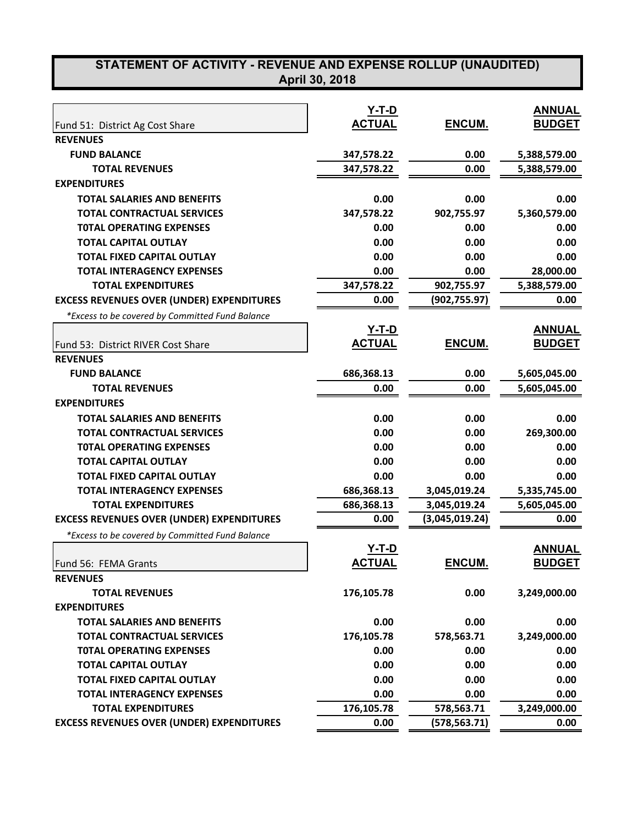## **STATEMENT OF ACTIVITY - REVENUE AND EXPENSE ROLLUP (UNAUDITED) April 30, 2018**

|                                                  | <u>Y-T-D</u>  |                | <b>ANNUAL</b> |
|--------------------------------------------------|---------------|----------------|---------------|
| Fund 51: District Ag Cost Share                  | <b>ACTUAL</b> | ENCUM.         | <b>BUDGET</b> |
| <b>REVENUES</b>                                  |               |                |               |
| <b>FUND BALANCE</b>                              | 347,578.22    | 0.00           | 5,388,579.00  |
| <b>TOTAL REVENUES</b>                            | 347,578.22    | 0.00           | 5,388,579.00  |
| <b>EXPENDITURES</b>                              |               |                |               |
| <b>TOTAL SALARIES AND BENEFITS</b>               | 0.00          | 0.00           | 0.00          |
| <b>TOTAL CONTRACTUAL SERVICES</b>                | 347,578.22    | 902,755.97     | 5,360,579.00  |
| <b>TOTAL OPERATING EXPENSES</b>                  | 0.00          | 0.00           | 0.00          |
| <b>TOTAL CAPITAL OUTLAY</b>                      | 0.00          | 0.00           | 0.00          |
| <b>TOTAL FIXED CAPITAL OUTLAY</b>                | 0.00          | 0.00           | 0.00          |
| <b>TOTAL INTERAGENCY EXPENSES</b>                | 0.00          | 0.00           | 28,000.00     |
| <b>TOTAL EXPENDITURES</b>                        | 347,578.22    | 902,755.97     | 5,388,579.00  |
| <b>EXCESS REVENUES OVER (UNDER) EXPENDITURES</b> | 0.00          | (902, 755.97)  | 0.00          |
| *Excess to be covered by Committed Fund Balance  |               |                |               |
|                                                  | Y-T-D         |                | <b>ANNUAL</b> |
| Fund 53: District RIVER Cost Share               | <b>ACTUAL</b> | ENCUM.         | <b>BUDGET</b> |
| <b>REVENUES</b>                                  |               |                |               |
| <b>FUND BALANCE</b>                              | 686,368.13    | 0.00           | 5,605,045.00  |
| <b>TOTAL REVENUES</b>                            | 0.00          | 0.00           | 5,605,045.00  |
| <b>EXPENDITURES</b>                              |               |                |               |
| <b>TOTAL SALARIES AND BENEFITS</b>               | 0.00          | 0.00           | 0.00          |
| <b>TOTAL CONTRACTUAL SERVICES</b>                | 0.00          | 0.00           | 269,300.00    |
| <b>TOTAL OPERATING EXPENSES</b>                  | 0.00          | 0.00           | 0.00          |
| <b>TOTAL CAPITAL OUTLAY</b>                      | 0.00          | 0.00           | 0.00          |
| <b>TOTAL FIXED CAPITAL OUTLAY</b>                | 0.00          | 0.00           | 0.00          |
| <b>TOTAL INTERAGENCY EXPENSES</b>                | 686,368.13    | 3,045,019.24   | 5,335,745.00  |
| <b>TOTAL EXPENDITURES</b>                        | 686,368.13    | 3,045,019.24   | 5,605,045.00  |
| <b>EXCESS REVENUES OVER (UNDER) EXPENDITURES</b> | 0.00          | (3,045,019.24) | 0.00          |
| *Excess to be covered by Committed Fund Balance  |               |                |               |
|                                                  | Y-T-D         |                | <b>ANNUAL</b> |
| Fund 56: FEMA Grants                             | <b>ACTUAL</b> | <b>ENCUM.</b>  | <b>BUDGET</b> |
| <b>REVENUES</b>                                  |               |                |               |
| <b>TOTAL REVENUES</b>                            | 176,105.78    | 0.00           | 3,249,000.00  |
| <b>EXPENDITURES</b>                              |               |                |               |
| <b>TOTAL SALARIES AND BENEFITS</b>               | 0.00          | 0.00           | 0.00          |
| <b>TOTAL CONTRACTUAL SERVICES</b>                | 176,105.78    | 578,563.71     | 3,249,000.00  |
| <b>TOTAL OPERATING EXPENSES</b>                  | 0.00          | 0.00           | 0.00          |
| <b>TOTAL CAPITAL OUTLAY</b>                      | 0.00          | 0.00           | 0.00          |
| <b>TOTAL FIXED CAPITAL OUTLAY</b>                | 0.00          | 0.00           | 0.00          |
| <b>TOTAL INTERAGENCY EXPENSES</b>                | 0.00          | 0.00           | 0.00          |
| <b>TOTAL EXPENDITURES</b>                        | 176,105.78    | 578,563.71     | 3,249,000.00  |
| <b>EXCESS REVENUES OVER (UNDER) EXPENDITURES</b> | 0.00          | (578, 563.71)  | 0.00          |